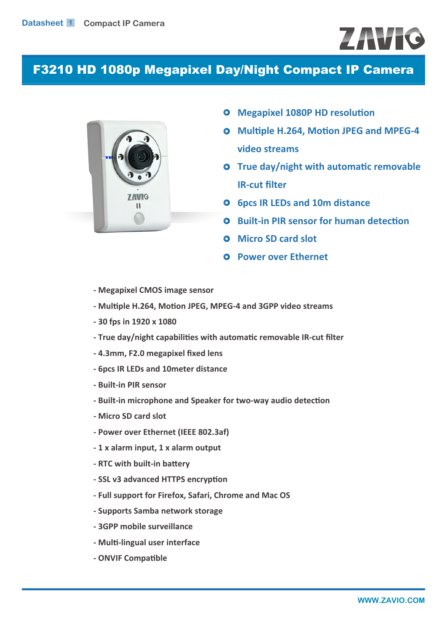# **ZAVIC**

# F3210 HD 1080p Megapixel Day/Night Compact IP Camera



- **Megapixel 1080P HD resolution**
- **Multiple H.264, Motion JPEG and MPEG-4 video streams**
- **O** True day/night with automatic removable **IR-cut filter**
- **6** 6pcs IR LEDs and 10m distance
- **Built-in PIR sensor for human detection**
- **Micro SD card slot**
- **Power over Ethernet**
- **Megapixel CMOS image sensor**
- **Multiple H.264, Motion JPEG, MPEG-4 and 3GPP video streams**
- **30 fps in 1920 x 1080**
- **True day/night capabilities with automatic removable IR-cut filter**
- **4.3mm, F2.0 megapixel fixed lens**
- **6pcs IR LEDs and 10meter distance**
- **Built-in PIR sensor**
- **Built-in microphone and Speaker for two-way audio detection**
- **Micro SD card slot**
- **Power over Ethernet (IEEE 802.3af)**
- **1 x alarm input, 1 x alarm output**
- **RTC with built-in battery**
- **SSL v3 advanced HTTPS encryption**
- **Full support for Firefox, Safari, Chrome and Mac OS**
- **Supports Samba network storage**
- **3GPP mobile surveillance**
- **Multi-lingual user interface**
- **ONVIF Compatible**